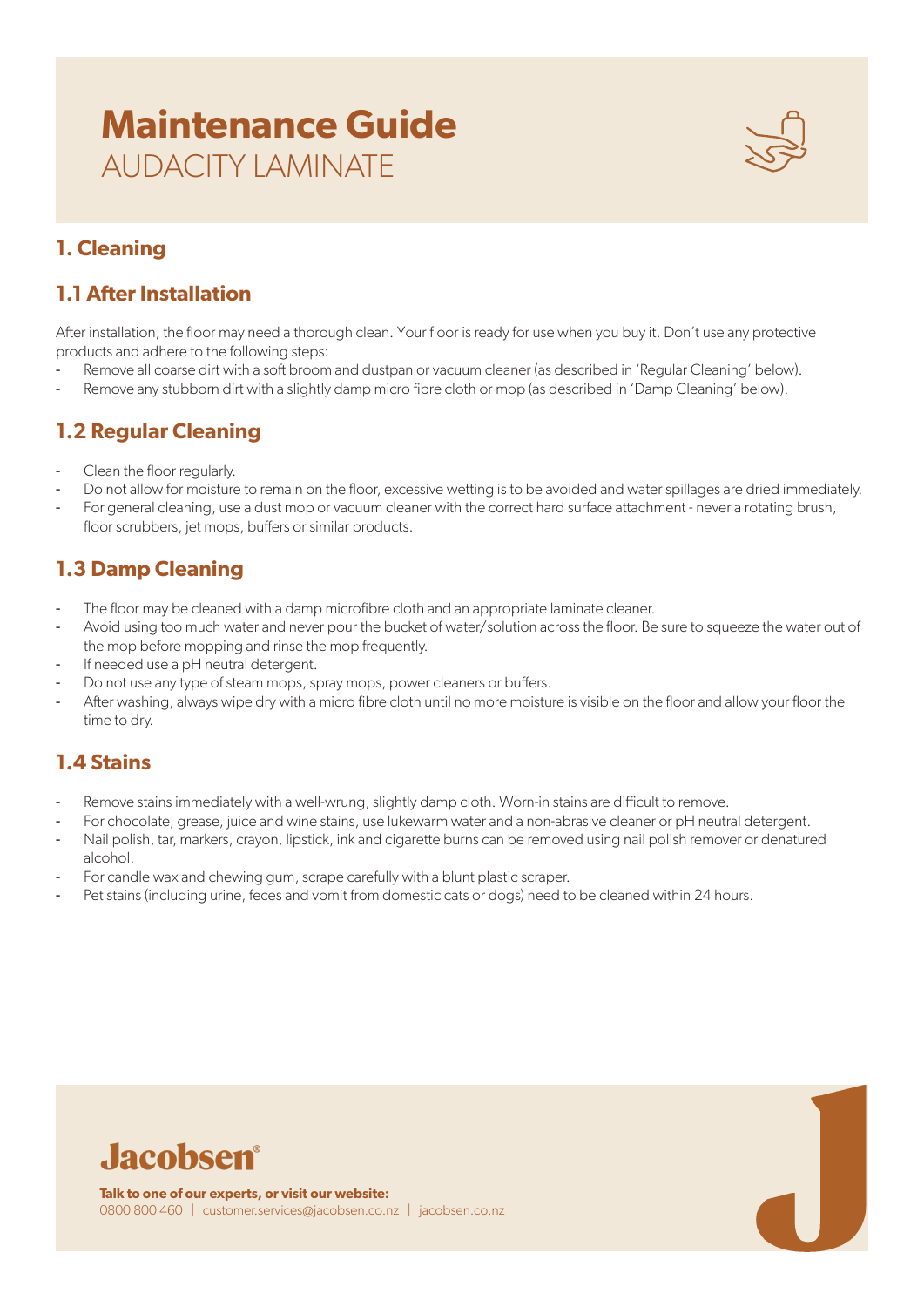# **Maintenance Guide** AUDACITY LAMINATE



## **1. Cleaning**

### **1.1 After Installation**

After installation, the floor may need a thorough clean. Your floor is ready for use when you buy it. Don't use any protective products and adhere to the following steps:

- Remove all coarse dirt with a soft broom and dustpan or vacuum cleaner (as described in 'Regular Cleaning' below).
- Remove any stubborn dirt with a slightly damp micro fibre cloth or mop (as described in 'Damp Cleaning' below).

### **1.2 Regular Cleaning**

- Clean the floor regularly.
- Do not allow for moisture to remain on the floor, excessive wetting is to be avoided and water spillages are dried immediately.
- For general cleaning, use a dust mop or vacuum cleaner with the correct hard surface attachment never a rotating brush, floor scrubbers, jet mops, buffers or similar products.

## **1.3 Damp Cleaning**

- The floor may be cleaned with a damp microfibre cloth and an appropriate laminate cleaner.
- Avoid using too much water and never pour the bucket of water/solution across the floor. Be sure to squeeze the water out of the mop before mopping and rinse the mop frequently.
- If needed use a pH neutral detergent.
- Do not use any type of steam mops, spray mops, power cleaners or buffers.
- After washing, always wipe dry with a micro fibre cloth until no more moisture is visible on the floor and allow your floor the time to dry.

## **1.4 Stains**

- Remove stains immediately with a well-wrung, slightly damp cloth. Worn-in stains are difficult to remove.
- For chocolate, grease, juice and wine stains, use lukewarm water and a non-abrasive cleaner or pH neutral detergent.
- Nail polish, tar, markers, crayon, lipstick, ink and cigarette burns can be removed using nail polish remover or denatured alcohol.
- For candle wax and chewing gum, scrape carefully with a blunt plastic scraper.
- Pet stains (including urine, feces and vomit from domestic cats or dogs) need to be cleaned within 24 hours.

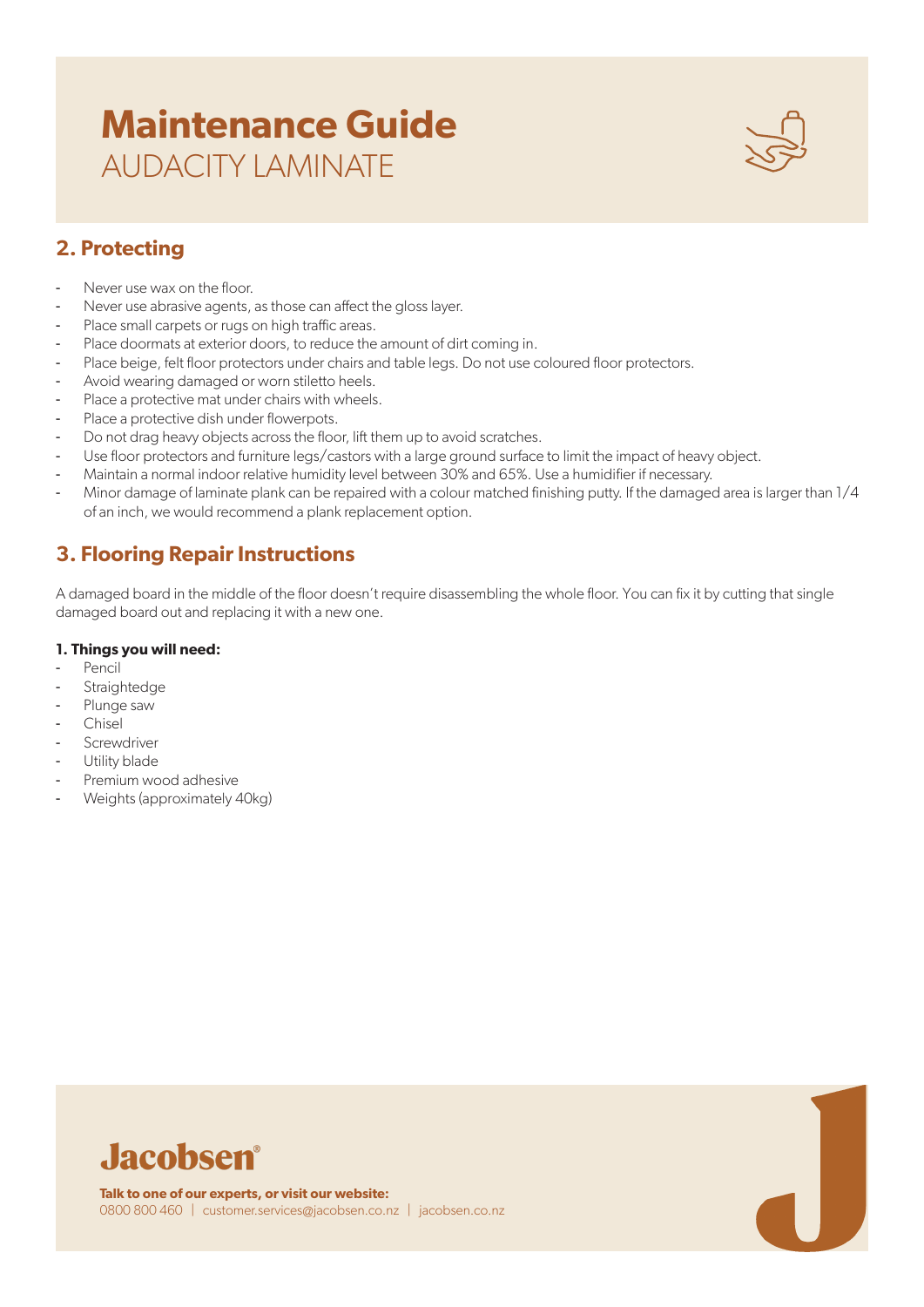# **Maintenance Guide** AUDACITY LAMINATE



# **2. Protecting**

- Never use wax on the floor.
- Never use abrasive agents, as those can affect the gloss layer.
- Place small carpets or rugs on high traffic areas.
- Place doormats at exterior doors, to reduce the amount of dirt coming in.
- Place beige, felt floor protectors under chairs and table legs. Do not use coloured floor protectors.
- Avoid wearing damaged or worn stiletto heels.
- Place a protective mat under chairs with wheels.
- Place a protective dish under flowerpots.
- Do not drag heavy objects across the floor, lift them up to avoid scratches.
- Use floor protectors and furniture legs/castors with a large ground surface to limit the impact of heavy object.
- Maintain a normal indoor relative humidity level between 30% and 65%. Use a humidifier if necessary.
- Minor damage of laminate plank can be repaired with a colour matched finishing putty. If the damaged area is larger than 1/4 of an inch, we would recommend a plank replacement option.

#### **3. Flooring Repair Instructions**

A damaged board in the middle of the floor doesn't require disassembling the whole floor. You can fix it by cutting that single damaged board out and replacing it with a new one.

#### **1. Things you will need:**

- Pencil
- Straightedge
- Plunge saw
- **Chisel**
- **Screwdriver**
- Utility blade
- Premium wood adhesive
- Weights (approximately 40kg)